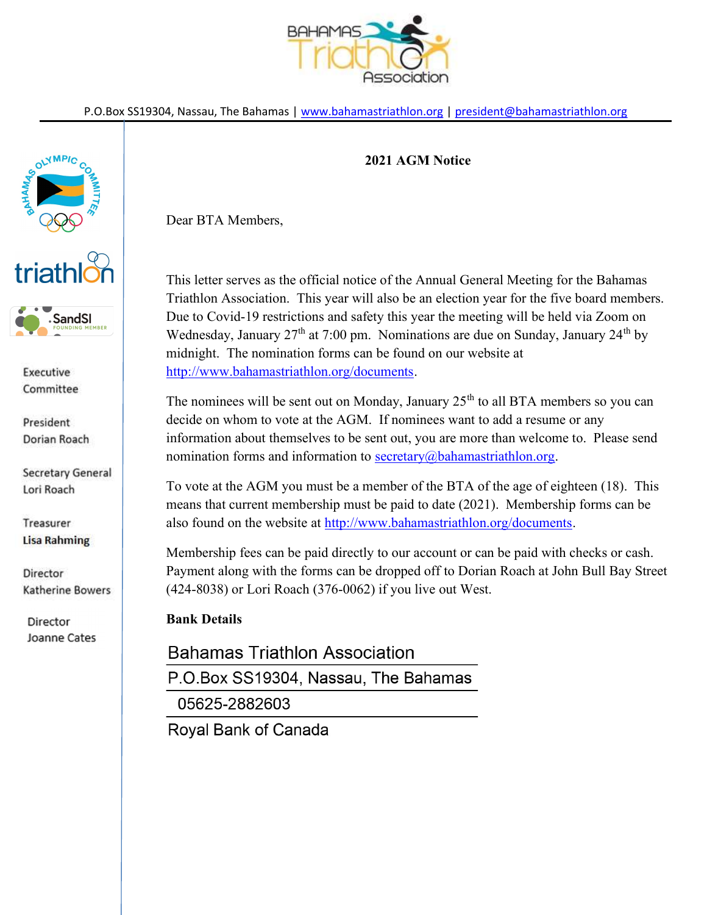

P.O.Box SS19304, Nassau, The Bahamas | www.bahamastriathlon.org | president@bahamastriathlon.org



Executive Committee

President Dorian Roach

Secretary General Lori Roach

Treasurer **Lisa Rahming** 

Director Katherine Bowers

Director Joanne Cates

## 2021 AGM Notice

Dear BTA Members,

This letter serves as the official notice of the Annual General Meeting for the Bahamas Triathlon Association. This year will also be an election year for the five board members. Due to Covid-19 restrictions and safety this year the meeting will be held via Zoom on Wednesday, January  $27<sup>th</sup>$  at 7:00 pm. Nominations are due on Sunday, January  $24<sup>th</sup>$  by midnight. The nomination forms can be found on our website at http://www.bahamastriathlon.org/documents.

The nominees will be sent out on Monday, January  $25<sup>th</sup>$  to all BTA members so you can decide on whom to vote at the AGM. If nominees want to add a resume or any information about themselves to be sent out, you are more than welcome to. Please send nomination forms and information to  $\frac{\text{secretary}(a)\text{b}ahamatriathlon.org}{\text{b}ahamastriathlon.org}$ .

To vote at the AGM you must be a member of the BTA of the age of eighteen (18). This means that current membership must be paid to date (2021). Membership forms can be also found on the website at http://www.bahamastriathlon.org/documents.

Membership fees can be paid directly to our account or can be paid with checks or cash. Payment along with the forms can be dropped off to Dorian Roach at John Bull Bay Street (424-8038) or Lori Roach (376-0062) if you live out West.

## Bank Details

**Bahamas Triathlon Association** P.O.Box SS19304, Nassau, The Bahamas 05625-2882603

Royal Bank of Canada